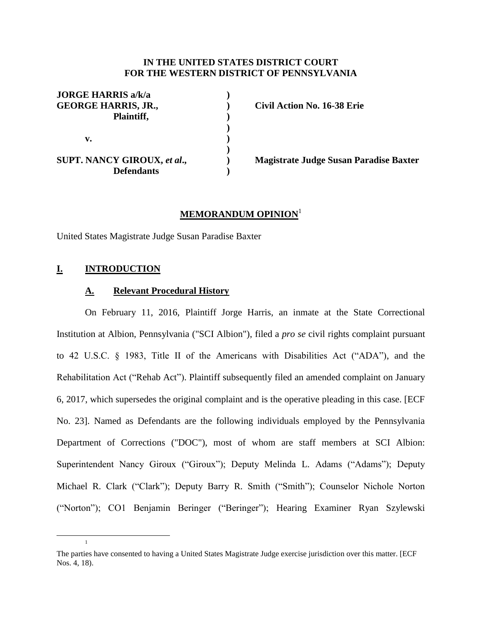## **IN THE UNITED STATES DISTRICT COURT FOR THE WESTERN DISTRICT OF PENNSYLVANIA**

| <b>JORGE HARRIS a/k/a</b><br><b>GEORGE HARRIS, JR.,</b><br>Plaintiff, |  |
|-----------------------------------------------------------------------|--|
| v.                                                                    |  |
| <b>SUPT. NANCY GIROUX, et al.,</b><br><b>Defendants</b>               |  |

**GEORGE HARRIS, JR., ) Civil Action No. 16-38 Erie**

**SUPT. NANCY GIROUX,** *et al***., ) Magistrate Judge Susan Paradise Baxter**

# **MEMORANDUM OPINION**<sup>1</sup>

United States Magistrate Judge Susan Paradise Baxter

# **I. INTRODUCTION**

 $\overline{a}$ 

1

## **A. Relevant Procedural History**

On February 11, 2016, Plaintiff Jorge Harris, an inmate at the State Correctional Institution at Albion, Pennsylvania ("SCI Albion"), filed a *pro se* civil rights complaint pursuant to 42 U.S.C. § 1983, Title II of the Americans with Disabilities Act ("ADA"), and the Rehabilitation Act ("Rehab Act"). Plaintiff subsequently filed an amended complaint on January 6, 2017, which supersedes the original complaint and is the operative pleading in this case. [ECF No. 23]. Named as Defendants are the following individuals employed by the Pennsylvania Department of Corrections ("DOC"), most of whom are staff members at SCI Albion: Superintendent Nancy Giroux ("Giroux"); Deputy Melinda L. Adams ("Adams"); Deputy Michael R. Clark ("Clark"); Deputy Barry R. Smith ("Smith"); Counselor Nichole Norton ("Norton"); CO1 Benjamin Beringer ("Beringer"); Hearing Examiner Ryan Szylewski

The parties have consented to having a United States Magistrate Judge exercise jurisdiction over this matter. [ECF Nos. 4, 18).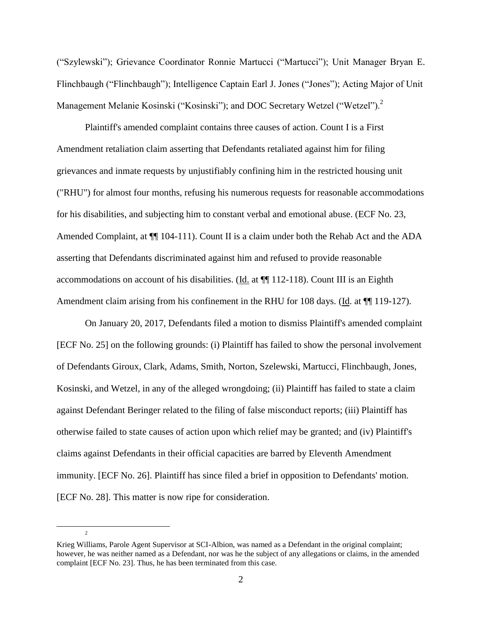("Szylewski"); Grievance Coordinator Ronnie Martucci ("Martucci"); Unit Manager Bryan E. Flinchbaugh ("Flinchbaugh"); Intelligence Captain Earl J. Jones ("Jones"); Acting Major of Unit Management Melanie Kosinski ("Kosinski"); and DOC Secretary Wetzel ("Wetzel").<sup>2</sup>

Plaintiff's amended complaint contains three causes of action. Count I is a First Amendment retaliation claim asserting that Defendants retaliated against him for filing grievances and inmate requests by unjustifiably confining him in the restricted housing unit ("RHU") for almost four months, refusing his numerous requests for reasonable accommodations for his disabilities, and subjecting him to constant verbal and emotional abuse. (ECF No. 23, Amended Complaint, at  $\P$  104-111). Count II is a claim under both the Rehab Act and the ADA asserting that Defendants discriminated against him and refused to provide reasonable accommodations on account of his disabilities. (Id. at ¶¶ 112-118). Count III is an Eighth Amendment claim arising from his confinement in the RHU for 108 days. (Id. at  $\P$  119-127).

On January 20, 2017, Defendants filed a motion to dismiss Plaintiff's amended complaint [ECF No. 25] on the following grounds: (i) Plaintiff has failed to show the personal involvement of Defendants Giroux, Clark, Adams, Smith, Norton, Szelewski, Martucci, Flinchbaugh, Jones, Kosinski, and Wetzel, in any of the alleged wrongdoing; (ii) Plaintiff has failed to state a claim against Defendant Beringer related to the filing of false misconduct reports; (iii) Plaintiff has otherwise failed to state causes of action upon which relief may be granted; and (iv) Plaintiff's claims against Defendants in their official capacities are barred by Eleventh Amendment immunity. [ECF No. 26]. Plaintiff has since filed a brief in opposition to Defendants' motion. [ECF No. 28]. This matter is now ripe for consideration.

 $\overline{a}$ 

Krieg Williams, Parole Agent Supervisor at SCI-Albion, was named as a Defendant in the original complaint; however, he was neither named as a Defendant, nor was he the subject of any allegations or claims, in the amended complaint [ECF No. 23]. Thus, he has been terminated from this case.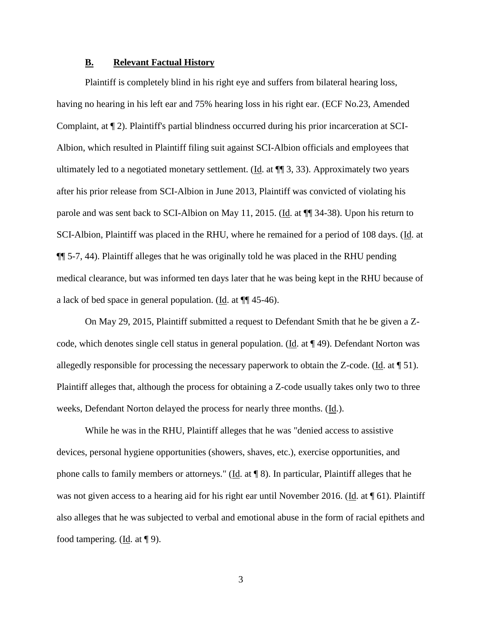## **B. Relevant Factual History**

Plaintiff is completely blind in his right eye and suffers from bilateral hearing loss, having no hearing in his left ear and 75% hearing loss in his right ear. (ECF No.23, Amended Complaint, at ¶ 2). Plaintiff's partial blindness occurred during his prior incarceration at SCI-Albion, which resulted in Plaintiff filing suit against SCI-Albion officials and employees that ultimately led to a negotiated monetary settlement. (Id. at  $\P$  3, 33). Approximately two years after his prior release from SCI-Albion in June 2013, Plaintiff was convicted of violating his parole and was sent back to SCI-Albion on May 11, 2015. (Id. at ¶¶ 34-38). Upon his return to SCI-Albion, Plaintiff was placed in the RHU, where he remained for a period of 108 days. (Id. at ¶¶ 5-7, 44). Plaintiff alleges that he was originally told he was placed in the RHU pending medical clearance, but was informed ten days later that he was being kept in the RHU because of a lack of bed space in general population. (Id. at ¶¶ 45-46).

On May 29, 2015, Plaintiff submitted a request to Defendant Smith that he be given a Zcode, which denotes single cell status in general population. (Id. at ¶ 49). Defendant Norton was allegedly responsible for processing the necessary paperwork to obtain the Z-code. (Id. at ¶ 51). Plaintiff alleges that, although the process for obtaining a Z-code usually takes only two to three weeks, Defendant Norton delayed the process for nearly three months. (Id.).

While he was in the RHU, Plaintiff alleges that he was "denied access to assistive devices, personal hygiene opportunities (showers, shaves, etc.), exercise opportunities, and phone calls to family members or attorneys." (Id. at ¶ 8). In particular, Plaintiff alleges that he was not given access to a hearing aid for his right ear until November 2016. (Id. at  $\P$  61). Plaintiff also alleges that he was subjected to verbal and emotional abuse in the form of racial epithets and food tampering. (Id. at ¶ 9).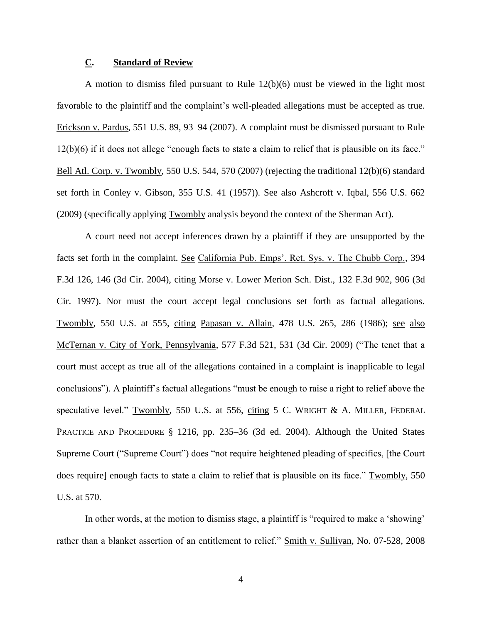# **C. Standard of Review**

A motion to dismiss filed pursuant to Rule 12(b)(6) must be viewed in the light most favorable to the plaintiff and the complaint's well-pleaded allegations must be accepted as true. Erickson v. Pardus, 551 U.S. 89, 93–94 (2007). A complaint must be dismissed pursuant to Rule 12(b)(6) if it does not allege "enough facts to state a claim to relief that is plausible on its face." Bell Atl. Corp. v. Twombly, 550 U.S. 544, 570 (2007) (rejecting the traditional 12(b)(6) standard set forth in Conley v. Gibson, 355 U.S. 41 (1957)). See also Ashcroft v. Iqbal, 556 U.S. 662 (2009) (specifically applying Twombly analysis beyond the context of the Sherman Act).

A court need not accept inferences drawn by a plaintiff if they are unsupported by the facts set forth in the complaint. See California Pub. Emps'. Ret. Sys. v. The Chubb Corp., 394 F.3d 126, 146 (3d Cir. 2004), citing Morse v. Lower Merion Sch. Dist., 132 F.3d 902, 906 (3d Cir. 1997). Nor must the court accept legal conclusions set forth as factual allegations. Twombly, 550 U.S. at 555, citing Papasan v. Allain, 478 U.S. 265, 286 (1986); see also McTernan v. City of York, Pennsylvania, 577 F.3d 521, 531 (3d Cir. 2009) ("The tenet that a court must accept as true all of the allegations contained in a complaint is inapplicable to legal conclusions"). A plaintiff's factual allegations "must be enough to raise a right to relief above the speculative level." Twombly, 550 U.S. at 556, citing 5 C. WRIGHT & A. MILLER, FEDERAL PRACTICE AND PROCEDURE § 1216, pp. 235–36 (3d ed. 2004). Although the United States Supreme Court ("Supreme Court") does "not require heightened pleading of specifics, [the Court does require] enough facts to state a claim to relief that is plausible on its face." Twombly, 550 U.S. at 570.

In other words, at the motion to dismiss stage, a plaintiff is "required to make a 'showing' rather than a blanket assertion of an entitlement to relief." Smith v. Sullivan, No. 07-528, 2008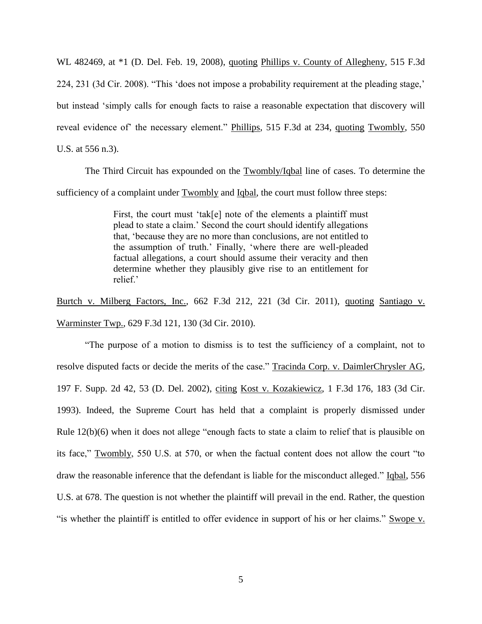WL 482469, at \*1 (D. Del. Feb. 19, 2008), quoting Phillips v. County of Allegheny, 515 F.3d 224, 231 (3d Cir. 2008). "This 'does not impose a probability requirement at the pleading stage,' but instead 'simply calls for enough facts to raise a reasonable expectation that discovery will reveal evidence of the necessary element." Phillips, 515 F.3d at 234, quoting Twombly, 550 U.S. at 556 n.3).

The Third Circuit has expounded on the Twombly/Iqbal line of cases. To determine the sufficiency of a complaint under Twombly and Iqbal, the court must follow three steps:

> First, the court must 'tak[e] note of the elements a plaintiff must plead to state a claim.' Second the court should identify allegations that, 'because they are no more than conclusions, are not entitled to the assumption of truth.' Finally, 'where there are well-pleaded factual allegations, a court should assume their veracity and then determine whether they plausibly give rise to an entitlement for relief?

Burtch v. Milberg Factors, Inc., 662 F.3d 212, 221 (3d Cir. 2011), quoting Santiago v. Warminster Twp., 629 F.3d 121, 130 (3d Cir. 2010).

"The purpose of a motion to dismiss is to test the sufficiency of a complaint, not to resolve disputed facts or decide the merits of the case." Tracinda Corp. v. DaimlerChrysler AG, 197 F. Supp. 2d 42, 53 (D. Del. 2002), citing Kost v. Kozakiewicz, 1 F.3d 176, 183 (3d Cir. 1993). Indeed, the Supreme Court has held that a complaint is properly dismissed under Rule 12(b)(6) when it does not allege "enough facts to state a claim to relief that is plausible on its face," Twombly, 550 U.S. at 570, or when the factual content does not allow the court "to draw the reasonable inference that the defendant is liable for the misconduct alleged." Iqbal, 556 U.S. at 678. The question is not whether the plaintiff will prevail in the end. Rather, the question "is whether the plaintiff is entitled to offer evidence in support of his or her claims." Swope v.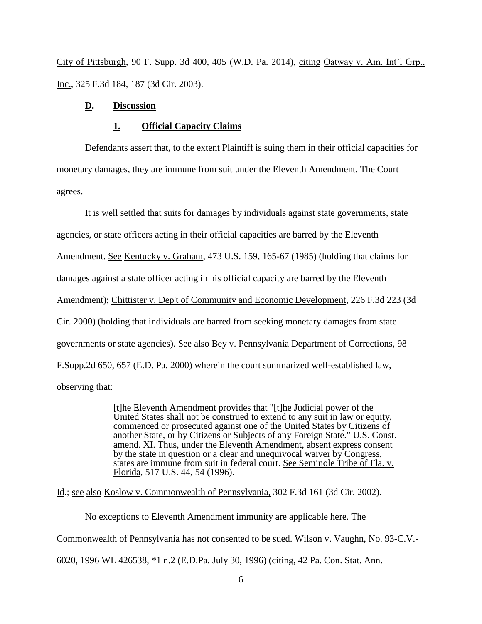City of Pittsburgh, 90 F. Supp. 3d 400, 405 (W.D. Pa. 2014), citing Oatway v. Am. Int'l Grp., Inc., 325 F.3d 184, 187 (3d Cir. 2003).

# **D. Discussion**

#### **1. Official Capacity Claims**

Defendants assert that, to the extent Plaintiff is suing them in their official capacities for monetary damages, they are immune from suit under the Eleventh Amendment. The Court agrees.

It is well settled that suits for damages by individuals against state governments, state agencies, or state officers acting in their official capacities are barred by the Eleventh Amendment. See Kentucky v. Graham, 473 U.S. 159, 165-67 (1985) (holding that claims for damages against a state officer acting in his official capacity are barred by the Eleventh Amendment); Chittister v. Dep't of Community and Economic Development, 226 F.3d 223 (3d Cir. 2000) (holding that individuals are barred from seeking monetary damages from state governments or state agencies). See also Bey v. Pennsylvania Department of Corrections, 98 F.Supp.2d 650, 657 (E.D. Pa. 2000) wherein the court summarized well-established law, observing that:

> [t]he Eleventh Amendment provides that "[t]he Judicial power of the United States shall not be construed to extend to any suit in law or equity, commenced or prosecuted against one of the United States by Citizens of another State, or by Citizens or Subjects of any Foreign State." U.S. Const. amend. XI. Thus, under the Eleventh Amendment, absent express consent by the state in question or a clear and unequivocal waiver by Congress, states are immune from suit in federal court. See Seminole Tribe of Fla. v. Florida, 517 U.S. 44, 54 (1996).

Id.; see also Koslow v. Commonwealth of Pennsylvania, 302 F.3d 161 (3d Cir. 2002).

No exceptions to Eleventh Amendment immunity are applicable here. The

Commonwealth of Pennsylvania has not consented to be sued. Wilson v. Vaughn, No. 93-C.V.-

6020, 1996 WL 426538, \*1 n.2 (E.D.Pa. July 30, 1996) (citing, 42 Pa. Con. Stat. Ann.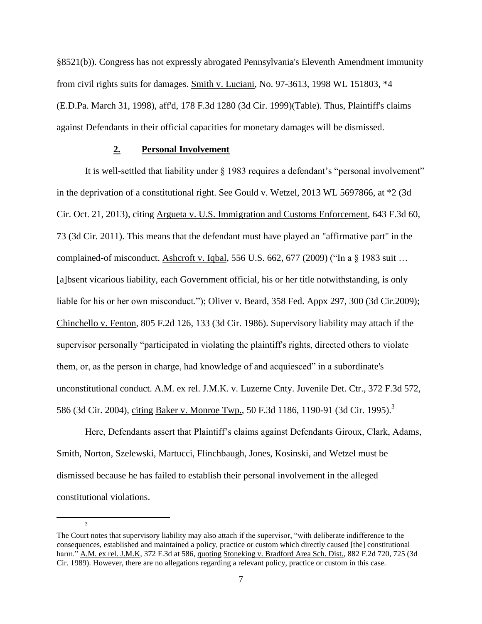§8521(b)). Congress has not expressly abrogated Pennsylvania's Eleventh Amendment immunity from civil rights suits for damages. Smith v. Luciani, No. 97-3613, 1998 WL 151803, \*4 (E.D.Pa. March 31, 1998), aff'd, 178 F.3d 1280 (3d Cir. 1999)(Table). Thus, Plaintiff's claims against Defendants in their official capacities for monetary damages will be dismissed.

## **2. Personal Involvement**

 $\overline{a}$ 

 $\overline{a}$ 

It is well-settled that liability under § 1983 requires a defendant's "personal involvement" in the deprivation of a constitutional right. See Gould v. Wetzel, 2013 WL 5697866, at \*2 (3d Cir. Oct. 21, 2013), citing Argueta v. U.S. Immigration and Customs Enforcement, 643 F.3d 60, 73 (3d Cir. 2011). This means that the defendant must have played an "affirmative part" in the complained-of misconduct. Ashcroft v. Iqbal, [556 U.S. 662, 677](https://1.next.westlaw.com/Link/Document/FullText?findType=Y&serNum=2018848474&pubNum=708&originatingDoc=I66f2e6504abb11e1bdb9e162c1ad40c0&refType=RP&fi=co_pp_sp_708_1949&originationContext=document&transitionType=DocumentItem&contextData=(sc.Search)#co_pp_sp_708_1949) (2009) ("In a § 1983 suit … [a]bsent vicarious liability, each Government official, his or her title notwithstanding, is only liable for his or her own misconduct."); Oliver v. Beard, 358 Fed. [Appx 297, 300 \(3d Cir.2009\);](https://1.next.westlaw.com/Link/Document/FullText?findType=Y&serNum=2020863831&pubNum=6538&originatingDoc=I66f2e6504abb11e1bdb9e162c1ad40c0&refType=RP&fi=co_pp_sp_6538_300&originationContext=document&transitionType=DocumentItem&contextData=(sc.Search)#co_pp_sp_6538_300) Chinchello v. Fenton, 805 F.2d 126, 133 (3d Cir. 1986). Supervisory liability may attach if the supervisor personally "participated in violating the plaintiff's rights, directed others to violate them, or, as the person in charge, had knowledge of and acquiesced" in a subordinate's unconstitutional conduct. [A.M. ex rel. J.M.K. v. Luzerne Cnty. Juvenile Det. Ctr., 372 F.3d 572,](https://1.next.westlaw.com/Link/Document/FullText?findType=Y&serNum=2004565009&pubNum=0000506&originatingDoc=I1e0152605b3b11e6882ab26877c13090&refType=RP&fi=co_pp_sp_506_586&originationContext=document&transitionType=DocumentItem&contextData=(sc.Default)#co_pp_sp_506_586)  [586 \(3d Cir. 2004\),](https://1.next.westlaw.com/Link/Document/FullText?findType=Y&serNum=2004565009&pubNum=0000506&originatingDoc=I1e0152605b3b11e6882ab26877c13090&refType=RP&fi=co_pp_sp_506_586&originationContext=document&transitionType=DocumentItem&contextData=(sc.Default)#co_pp_sp_506_586) citing [Baker v. Monroe Twp., 50 F.3d 1186, 1190-91 \(3d Cir. 1995\).](https://1.next.westlaw.com/Link/Document/FullText?findType=Y&serNum=1995072366&pubNum=0000506&originatingDoc=I1e0152605b3b11e6882ab26877c13090&refType=RP&fi=co_pp_sp_506_1190&originationContext=document&transitionType=DocumentItem&contextData=(sc.Default)#co_pp_sp_506_1190)<sup>3</sup>

Here, Defendants assert that Plaintiff's claims against Defendants Giroux, Clark, Adams, Smith, Norton, Szelewski, Martucci, Flinchbaugh, Jones, Kosinski, and Wetzel must be dismissed because he has failed to establish their personal involvement in the alleged constitutional violations.

The Court notes that supervisory liability may also attach if the supervisor, "with deliberate indifference to the consequences, established and maintained a policy, practice or custom which directly caused [the] constitutional harm." A.M. ex rel. J.M.K, 372 F.3d at 586, quoting Stoneking v. Bradford Area Sch. Dist., 882 F.2d 720, 725 (3d [Cir. 1989\).](https://1.next.westlaw.com/Link/Document/FullText?findType=Y&serNum=1989121313&pubNum=0000350&originatingDoc=I1e0152605b3b11e6882ab26877c13090&refType=RP&fi=co_pp_sp_350_725&originationContext=document&transitionType=DocumentItem&contextData=(sc.Default)#co_pp_sp_350_725) However, there are no allegations regarding a relevant policy, practice or custom in this case.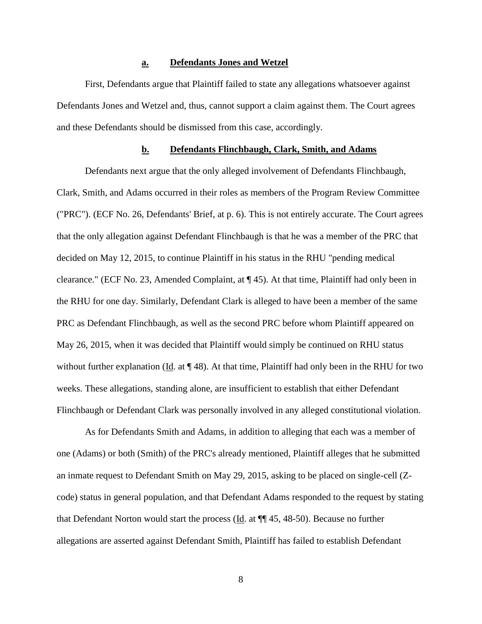#### **a. Defendants Jones and Wetzel**

First, Defendants argue that Plaintiff failed to state any allegations whatsoever against Defendants Jones and Wetzel and, thus, cannot support a claim against them. The Court agrees and these Defendants should be dismissed from this case, accordingly.

## **b. Defendants Flinchbaugh, Clark, Smith, and Adams**

Defendants next argue that the only alleged involvement of Defendants Flinchbaugh, Clark, Smith, and Adams occurred in their roles as members of the Program Review Committee ("PRC"). (ECF No. 26, Defendants' Brief, at p. 6). This is not entirely accurate. The Court agrees that the only allegation against Defendant Flinchbaugh is that he was a member of the PRC that decided on May 12, 2015, to continue Plaintiff in his status in the RHU "pending medical clearance." (ECF No. 23, Amended Complaint, at ¶ 45). At that time, Plaintiff had only been in the RHU for one day. Similarly, Defendant Clark is alleged to have been a member of the same PRC as Defendant Flinchbaugh, as well as the second PRC before whom Plaintiff appeared on May 26, 2015, when it was decided that Plaintiff would simply be continued on RHU status without further explanation ( $\underline{Id}$ . at  $\P$  48). At that time, Plaintiff had only been in the RHU for two weeks. These allegations, standing alone, are insufficient to establish that either Defendant Flinchbaugh or Defendant Clark was personally involved in any alleged constitutional violation.

As for Defendants Smith and Adams, in addition to alleging that each was a member of one (Adams) or both (Smith) of the PRC's already mentioned, Plaintiff alleges that he submitted an inmate request to Defendant Smith on May 29, 2015, asking to be placed on single-cell (Zcode) status in general population, and that Defendant Adams responded to the request by stating that Defendant Norton would start the process (Id. at ¶¶ 45, 48-50). Because no further allegations are asserted against Defendant Smith, Plaintiff has failed to establish Defendant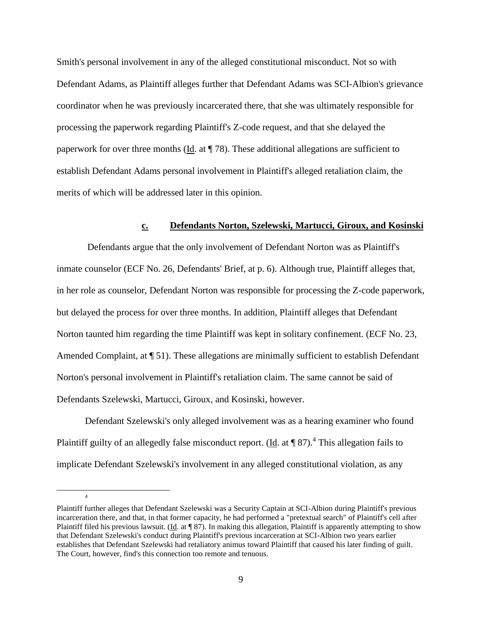Smith's personal involvement in any of the alleged constitutional misconduct. Not so with Defendant Adams, as Plaintiff alleges further that Defendant Adams was SCI-Albion's grievance coordinator when he was previously incarcerated there, that she was ultimately responsible for processing the paperwork regarding Plaintiff's Z-code request, and that she delayed the paperwork for over three months (Id. at  $\P$  78). These additional allegations are sufficient to establish Defendant Adams personal involvement in Plaintiff's alleged retaliation claim, the merits of which will be addressed later in this opinion.

# **c. Defendants Norton, Szelewski, Martucci, Giroux, and Kosinski**

Defendants argue that the only involvement of Defendant Norton was as Plaintiff's inmate counselor (ECF No. 26, Defendants' Brief, at p. 6). Although true, Plaintiff alleges that, in her role as counselor, Defendant Norton was responsible for processing the Z-code paperwork, but delayed the process for over three months. In addition, Plaintiff alleges that Defendant Norton taunted him regarding the time Plaintiff was kept in solitary confinement. (ECF No. 23, Amended Complaint, at  $\P$  51). These allegations are minimally sufficient to establish Defendant Norton's personal involvement in Plaintiff's retaliation claim. The same cannot be said of Defendants Szelewski, Martucci, Giroux, and Kosinski, however.

Defendant Szelewski's only alleged involvement was as a hearing examiner who found Plaintiff guilty of an allegedly false misconduct report. ( $\underline{Id}$ . at  $\P$  87).<sup>4</sup> This allegation fails to implicate Defendant Szelewski's involvement in any alleged constitutional violation, as any

 $\overline{a}$ 

Plaintiff further alleges that Defendant Szelewski was a Security Captain at SCI-Albion during Plaintiff's previous incarceration there, and that, in that former capacity, he had performed a "pretextual search" of Plaintiff's cell after Plaintiff filed his previous lawsuit. ( $\underline{Id}$ . at  $\P$  87). In making this allegation, Plaintiff is apparently attempting to show that Defendant Szelewski's conduct during Plaintiff's previous incarceration at SCI-Albion two years earlier establishes that Defendant Szelewski had retaliatory animus toward Plaintiff that caused his later finding of guilt. The Court, however, find's this connection too remote and tenuous.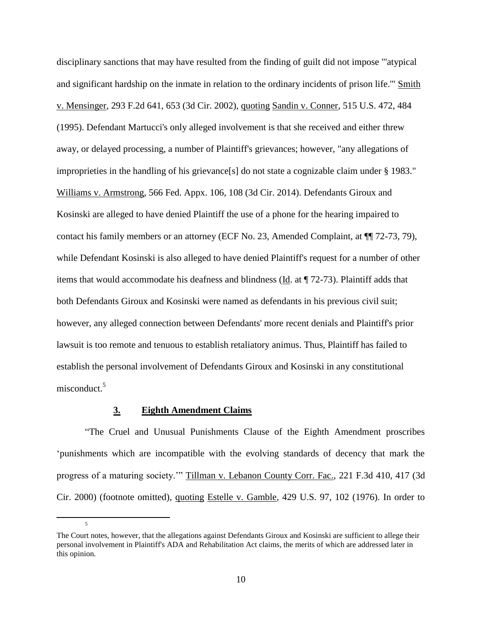disciplinary sanctions that may have resulted from the finding of guilt did not impose "'atypical and significant hardship on the inmate in relation to the ordinary incidents of prison life.'" Smith v. Mensinger, 293 F.2d 641, 653 (3d Cir. 2002), quoting Sandin v. Conner, 515 U.S. 472, 484 (1995). Defendant Martucci's only alleged involvement is that she received and either threw away, or delayed processing, a number of Plaintiff's grievances; however, "any allegations of improprieties in the handling of his grievance[s] do not state a cognizable claim under § 1983." Williams v. Armstrong, 566 Fed. Appx. 106, 108 (3d Cir. 2014). Defendants Giroux and Kosinski are alleged to have denied Plaintiff the use of a phone for the hearing impaired to contact his family members or an attorney (ECF No. 23, Amended Complaint, at ¶¶ 72-73, 79), while Defendant Kosinski is also alleged to have denied Plaintiff's request for a number of other items that would accommodate his deafness and blindness (Id. at ¶ 72-73). Plaintiff adds that both Defendants Giroux and Kosinski were named as defendants in his previous civil suit; however, any alleged connection between Defendants' more recent denials and Plaintiff's prior lawsuit is too remote and tenuous to establish retaliatory animus. Thus, Plaintiff has failed to establish the personal involvement of Defendants Giroux and Kosinski in any constitutional misconduct.<sup>5</sup>

#### **3. Eighth Amendment Claims**

 $\overline{a}$ 

5

"The Cruel and Unusual Punishments Clause of the Eighth Amendment proscribes 'punishments which are incompatible with the evolving standards of decency that mark the progress of a maturing society.'" Tillman v. Lebanon County Corr. Fac., 221 F.3d 410, 417 (3d Cir. 2000) (footnote omitted), quoting Estelle v. Gamble, 429 U.S. 97, 102 (1976). In order to

The Court notes, however, that the allegations against Defendants Giroux and Kosinski are sufficient to allege their personal involvement in Plaintiff's ADA and Rehabilitation Act claims, the merits of which are addressed later in this opinion.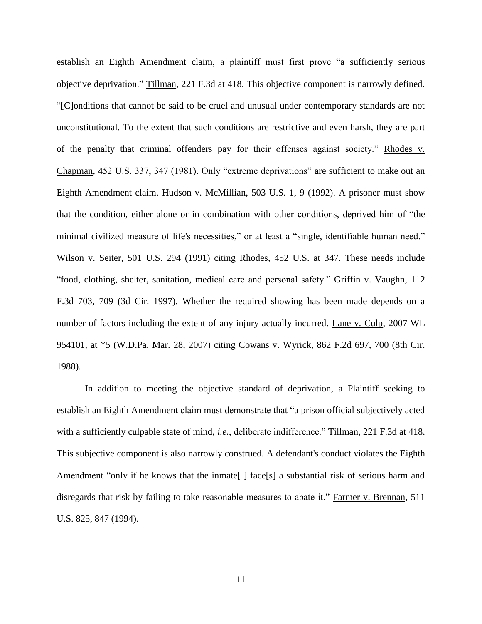establish an Eighth Amendment claim, a plaintiff must first prove "a sufficiently serious objective deprivation." Tillman, 221 F.3d at 418. This objective component is narrowly defined. "[C]onditions that cannot be said to be cruel and unusual under contemporary standards are not unconstitutional. To the extent that such conditions are restrictive and even harsh, they are part of the penalty that criminal offenders pay for their offenses against society." Rhodes v. Chapman, 452 U.S. 337, 347 (1981). Only "extreme deprivations" are sufficient to make out an Eighth Amendment claim. Hudson v. McMillian, 503 U.S. 1, 9 (1992). A prisoner must show that the condition, either alone or in combination with other conditions, deprived him of "the minimal civilized measure of life's necessities," or at least a "single, identifiable human need." Wilson v. Seiter, 501 U.S. 294 (1991) citing Rhodes, 452 U.S. at 347. These needs include "food, clothing, shelter, sanitation, medical care and personal safety." Griffin v. Vaughn, 112 F.3d 703, 709 (3d Cir. 1997). Whether the required showing has been made depends on a number of factors including the extent of any injury actually incurred. Lane v. Culp, 2007 WL 954101, at \*5 (W.D.Pa. Mar. 28, 2007) citing Cowans v. Wyrick, 862 F.2d 697, 700 (8th Cir. 1988).

In addition to meeting the objective standard of deprivation, a Plaintiff seeking to establish an Eighth Amendment claim must demonstrate that "a prison official subjectively acted with a sufficiently culpable state of mind, *i.e.*, deliberate indifference." Tillman, 221 F.3d at 418. This subjective component is also narrowly construed. A defendant's conduct violates the Eighth Amendment "only if he knows that the inmate  $\lceil \int$  face [s] a substantial risk of serious harm and disregards that risk by failing to take reasonable measures to abate it." Farmer v. Brennan, 511 U.S. 825, 847 (1994).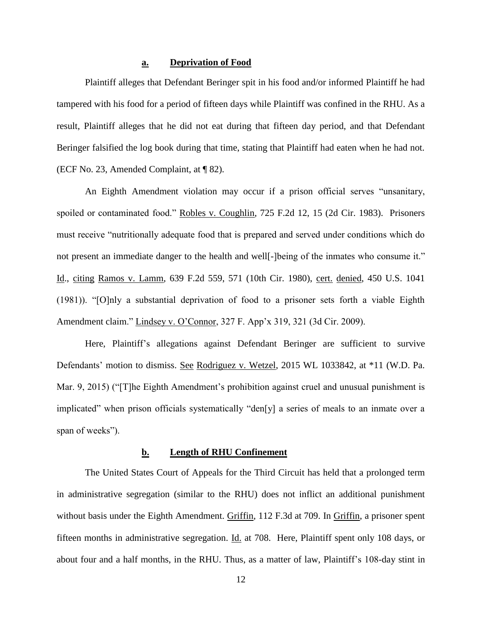## **a. Deprivation of Food**

Plaintiff alleges that Defendant Beringer spit in his food and/or informed Plaintiff he had tampered with his food for a period of fifteen days while Plaintiff was confined in the RHU. As a result, Plaintiff alleges that he did not eat during that fifteen day period, and that Defendant Beringer falsified the log book during that time, stating that Plaintiff had eaten when he had not. (ECF No. 23, Amended Complaint, at ¶ 82).

An Eighth Amendment violation may occur if a prison official serves "unsanitary, spoiled or contaminated food." Robles v. Coughlin, 725 F.2d 12, 15 (2d Cir. 1983). Prisoners must receive "nutritionally adequate food that is prepared and served under conditions which do not present an immediate danger to the health and well[-]being of the inmates who consume it." Id., citing Ramos v. Lamm, 639 F.2d 559, 571 (10th Cir. 1980), cert. denied, 450 U.S. 1041 (1981)). "[O]nly a substantial deprivation of food to a prisoner sets forth a viable Eighth Amendment claim." Lindsey v. O'Connor, 327 F. App'x 319, 321 (3d Cir. 2009).

Here, Plaintiff's allegations against Defendant Beringer are sufficient to survive Defendants' motion to dismiss. See Rodriguez v. Wetzel, 2015 WL 1033842, at \*11 (W.D. Pa. Mar. 9, 2015) ("[T]he Eighth Amendment's prohibition against cruel and unusual punishment is implicated" when prison officials systematically "den[y] a series of meals to an inmate over a span of weeks").

# **b. Length of RHU Confinement**

The United States Court of Appeals for the Third Circuit has held that a prolonged term in administrative segregation (similar to the RHU) does not inflict an additional punishment without basis under the Eighth Amendment. Griffin, 112 F.3d at 709. In Griffin, a prisoner spent fifteen months in administrative segregation. Id. at 708. Here, Plaintiff spent only 108 days, or about four and a half months, in the RHU. Thus, as a matter of law, Plaintiff's 108-day stint in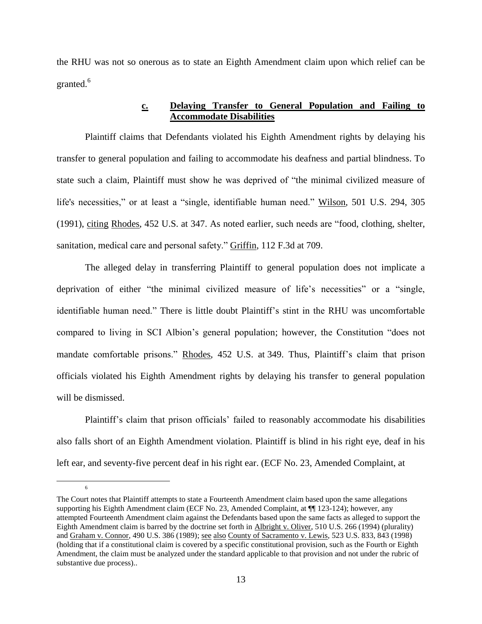the RHU was not so onerous as to state an Eighth Amendment claim upon which relief can be granted. $6$ 

# **c. Delaying Transfer to General Population and Failing to Accommodate Disabilities**

Plaintiff claims that Defendants violated his Eighth Amendment rights by delaying his transfer to general population and failing to accommodate his deafness and partial blindness. To state such a claim, Plaintiff must show he was deprived of "the minimal civilized measure of life's necessities," or at least a "single, identifiable human need." Wilson, 501 U.S. 294, 305 (1991), citing Rhodes, 452 U.S. at 347. As noted earlier, such needs are "food, clothing, shelter, sanitation, medical care and personal safety." Griffin, 112 F.3d at 709.

The alleged delay in transferring Plaintiff to general population does not implicate a deprivation of either "the minimal civilized measure of life's necessities" or a "single, identifiable human need." There is little doubt Plaintiff's stint in the RHU was uncomfortable compared to living in SCI Albion's general population; however, the Constitution "does not mandate comfortable prisons." Rhodes, 452 U.S. at 349. Thus, Plaintiff's claim that prison officials violated his Eighth Amendment rights by delaying his transfer to general population will be dismissed.

Plaintiff's claim that prison officials' failed to reasonably accommodate his disabilities also falls short of an Eighth Amendment violation. Plaintiff is blind in his right eye, deaf in his left ear, and seventy-five percent deaf in his right ear. (ECF No. 23, Amended Complaint, at

 $\overline{a}$ 

The Court notes that Plaintiff attempts to state a Fourteenth Amendment claim based upon the same allegations supporting his Eighth Amendment claim (ECF No. 23, Amended Complaint, at  $\P$  123-124); however, any attempted Fourteenth Amendment claim against the Defendants based upon the same facts as alleged to support the Eighth Amendment claim is barred by the doctrine set forth in Albright v. Oliver, 510 U.S. 266 (1994) (plurality) and Graham v. Connor, 490 U.S. 386 (1989); see also County of Sacramento v. Lewis, 523 U.S. 833, 843 (1998) (holding that if a constitutional claim is covered by a specific constitutional provision, such as the Fourth or Eighth Amendment, the claim must be analyzed under the standard applicable to that provision and not under the rubric of substantive due process)..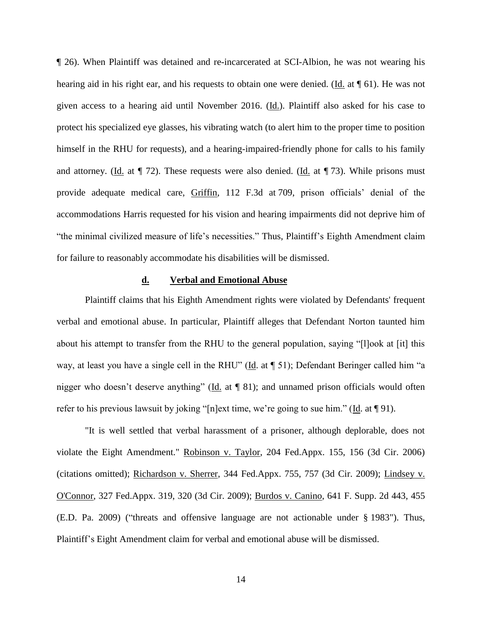¶ 26). When Plaintiff was detained and re-incarcerated at SCI-Albion, he was not wearing his hearing aid in his right ear, and his requests to obtain one were denied. (Id. at  $\P$  61). He was not given access to a hearing aid until November 2016. (Id.). Plaintiff also asked for his case to protect his specialized eye glasses, his vibrating watch (to alert him to the proper time to position himself in the RHU for requests), and a hearing-impaired-friendly phone for calls to his family and attorney. (Id. at  $\P$  72). These requests were also denied. (Id. at  $\P$  73). While prisons must provide adequate medical care, Griffin, 112 F.3d at 709, prison officials' denial of the accommodations Harris requested for his vision and hearing impairments did not deprive him of "the minimal civilized measure of life's necessities." Thus, Plaintiff's Eighth Amendment claim for failure to reasonably accommodate his disabilities will be dismissed.

#### **d. Verbal and Emotional Abuse**

Plaintiff claims that his Eighth Amendment rights were violated by Defendants' frequent verbal and emotional abuse. In particular, Plaintiff alleges that Defendant Norton taunted him about his attempt to transfer from the RHU to the general population, saying "[l]ook at [it] this way, at least you have a single cell in the RHU" (Id. at ¶ 51); Defendant Beringer called him "a nigger who doesn't deserve anything" (Id. at ¶ 81); and unnamed prison officials would often refer to his previous lawsuit by joking "[n]ext time, we're going to sue him." (Id. at ¶ 91).

"It is well settled that verbal harassment of a prisoner, although deplorable, does not violate the Eight Amendment." Robinson v. Taylor, 204 Fed.Appx. 155, 156 (3d Cir. 2006) (citations omitted); Richardson v. Sherrer, 344 Fed.Appx. 755, 757 (3d Cir. 2009); Lindsey v. O'Connor, 327 Fed.Appx. 319, 320 (3d Cir. 2009); Burdos v. Canino, 641 F. Supp. 2d 443, 455 (E.D. Pa. 2009) ("threats and offensive language are not actionable under § 1983"). Thus, Plaintiff's Eight Amendment claim for verbal and emotional abuse will be dismissed.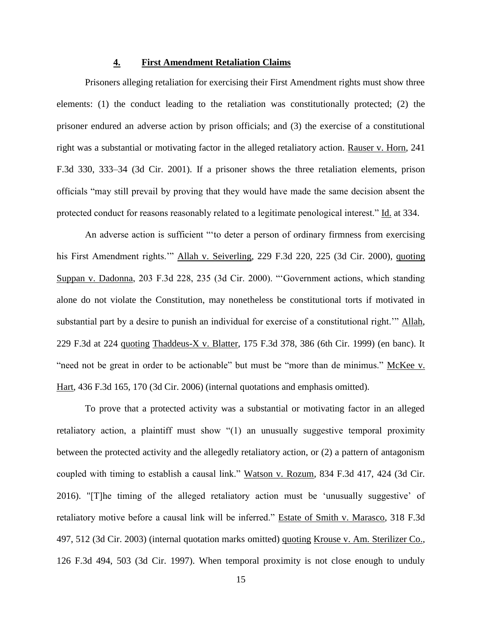#### **4. First Amendment Retaliation Claims**

Prisoners alleging retaliation for exercising their First Amendment rights must show three elements: (1) the conduct leading to the retaliation was constitutionally protected; (2) the prisoner endured an adverse action by prison officials; and (3) the exercise of a constitutional right was a substantial or motivating factor in the alleged retaliatory action. Rauser v. Horn, 241 F.3d 330, 333–34 (3d Cir. 2001). If a prisoner shows the three retaliation elements, prison officials "may still prevail by proving that they would have made the same decision absent the protected conduct for reasons reasonably related to a legitimate penological interest." Id. at 334.

An adverse action is sufficient "'to deter a person of ordinary firmness from exercising his First Amendment rights.'" Allah v. Seiverling, 229 F.3d 220, 225 (3d Cir. 2000), quoting Suppan v. Dadonna, 203 F.3d 228, 235 (3d Cir. 2000). "'Government actions, which standing alone do not violate the Constitution, may nonetheless be constitutional torts if motivated in substantial part by a desire to punish an individual for exercise of a constitutional right.'" Allah, 229 F.3d at 224 quoting Thaddeus-X v. Blatter, 175 F.3d 378, 386 (6th Cir. 1999) (en banc). It "need not be great in order to be actionable" but must be "more than de minimus." McKee v. Hart, 436 F.3d 165, 170 (3d Cir. 2006) (internal quotations and emphasis omitted).

To prove that a protected activity was a substantial or motivating factor in an alleged retaliatory action, a plaintiff must show "(1) an unusually suggestive temporal proximity between the protected activity and the allegedly retaliatory action, or (2) a pattern of antagonism coupled with timing to establish a causal link." Watson v. Rozum, 834 F.3d 417, 424 (3d Cir. 2016). "[T]he timing of the alleged retaliatory action must be 'unusually suggestive' of retaliatory motive before a causal link will be inferred." Estate of Smith v. Marasco, 318 F.3d 497, 512 (3d Cir. 2003) (internal quotation marks omitted) quoting Krouse v. Am. Sterilizer Co., 126 F.3d 494, 503 (3d Cir. 1997). When temporal proximity is not close enough to unduly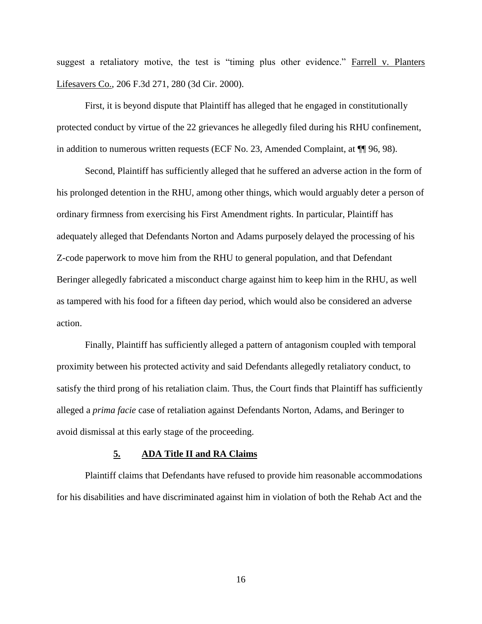suggest a retaliatory motive, the test is "timing plus other evidence." Farrell v. Planters Lifesavers Co., 206 F.3d 271, 280 (3d Cir. 2000).

First, it is beyond dispute that Plaintiff has alleged that he engaged in constitutionally protected conduct by virtue of the 22 grievances he allegedly filed during his RHU confinement, in addition to numerous written requests (ECF No. 23, Amended Complaint, at ¶¶ 96, 98).

Second, Plaintiff has sufficiently alleged that he suffered an adverse action in the form of his prolonged detention in the RHU, among other things, which would arguably deter a person of ordinary firmness from exercising his First Amendment rights. In particular, Plaintiff has adequately alleged that Defendants Norton and Adams purposely delayed the processing of his Z-code paperwork to move him from the RHU to general population, and that Defendant Beringer allegedly fabricated a misconduct charge against him to keep him in the RHU, as well as tampered with his food for a fifteen day period, which would also be considered an adverse action.

Finally, Plaintiff has sufficiently alleged a pattern of antagonism coupled with temporal proximity between his protected activity and said Defendants allegedly retaliatory conduct, to satisfy the third prong of his retaliation claim. Thus, the Court finds that Plaintiff has sufficiently alleged a *prima facie* case of retaliation against Defendants Norton, Adams, and Beringer to avoid dismissal at this early stage of the proceeding.

#### **5. ADA Title II and RA Claims**

Plaintiff claims that Defendants have refused to provide him reasonable accommodations for his disabilities and have discriminated against him in violation of both the Rehab Act and the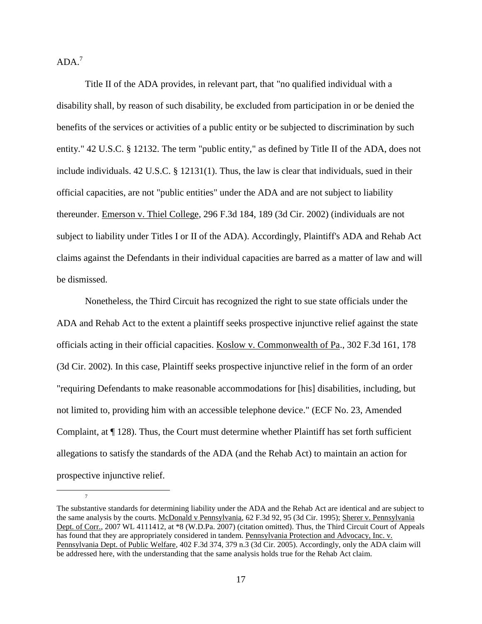$ADA.<sup>7</sup>$ 

 $\overline{a}$ 

7

Title II of the ADA provides, in relevant part, that "no qualified individual with a disability shall, by reason of such disability, be excluded from participation in or be denied the benefits of the services or activities of a public entity or be subjected to discrimination by such entity." 42 U.S.C. § 12132. The term "public entity," as defined by Title II of the ADA, does not include individuals. 42 U.S.C. § 12131(1). Thus, the law is clear that individuals, sued in their official capacities, are not "public entities" under the ADA and are not subject to liability thereunder. Emerson v. Thiel College, 296 F.3d 184, 189 (3d Cir. 2002) (individuals are not subject to liability under Titles I or II of the ADA). Accordingly, Plaintiff's ADA and Rehab Act claims against the Defendants in their individual capacities are barred as a matter of law and will be dismissed.

Nonetheless, the Third Circuit has recognized the right to sue state officials under the ADA and Rehab Act to the extent a plaintiff seeks prospective injunctive relief against the state officials acting in their official capacities. Koslow v. Commonwealth of Pa., 302 F.3d 161, 178 (3d Cir. 2002). In this case, Plaintiff seeks prospective injunctive relief in the form of an order "requiring Defendants to make reasonable accommodations for [his] disabilities, including, but not limited to, providing him with an accessible telephone device." (ECF No. 23, Amended Complaint, at  $\P$  128). Thus, the Court must determine whether Plaintiff has set forth sufficient allegations to satisfy the standards of the ADA (and the Rehab Act) to maintain an action for prospective injunctive relief.

The substantive standards for determining liability under the ADA and the Rehab Act are identical and are subject to the same analysis by the courts. McDonald v Pennsylvania, 62 F.3d 92, 95 (3d Cir. 1995); Sherer v. Pennsylvania Dept. of Corr., 2007 WL 4111412, at \*8 (W.D.Pa. 2007) (citation omitted). Thus, the Third Circuit Court of Appeals has found that they are appropriately considered in tandem. Pennsylvania Protection and Advocacy, Inc. v. Pennsylvania Dept. of Public Welfare, 402 F.3d 374, 379 n.3 (3d Cir. 2005). Accordingly, only the ADA claim will be addressed here, with the understanding that the same analysis holds true for the Rehab Act claim.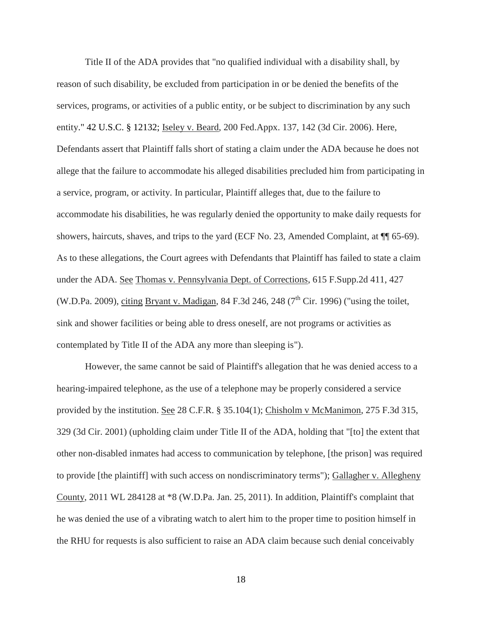Title II of the ADA provides that "no qualified individual with a disability shall, by reason of such disability, be excluded from participation in or be denied the benefits of the services, programs, or activities of a public entity, or be subject to discrimination by any such entity." [42 U.S.C. § 12132;](https://1.next.westlaw.com/Link/Document/FullText?findType=L&pubNum=1000546&cite=42USCAS12132&originatingDoc=I573111f5527011dbb0d3b726c66cf290&refType=LQ&originationContext=document&transitionType=DocumentItem&contextData=(sc.DocLink)) Iseley v. Beard, 200 Fed.Appx. 137, 142 (3d Cir. 2006). Here, Defendants assert that Plaintiff falls short of stating a claim under the ADA because he does not allege that the failure to accommodate his alleged disabilities precluded him from participating in a service, program, or activity. In particular, Plaintiff alleges that, due to the failure to accommodate his disabilities, he was regularly denied the opportunity to make daily requests for showers, haircuts, shaves, and trips to the yard (ECF No. 23, Amended Complaint, at  $\P$  65-69). As to these allegations, the Court agrees with Defendants that Plaintiff has failed to state a claim under the ADA. See Thomas v. Pennsylvania Dept. of Corrections, 615 F.Supp.2d 411, 427 (W.D.Pa. 2009), citing Bryant v. Madigan, 84 F.3d 246, 248 ( $7<sup>th</sup>$  Cir. 1996) ("using the toilet, sink and shower facilities or being able to dress oneself, are not programs or activities as contemplated by Title II of the ADA any more than sleeping is").

However, the same cannot be said of Plaintiff's allegation that he was denied access to a hearing-impaired telephone, as the use of a telephone may be properly considered a service provided by the institution. <u>See</u> 28 C.F.R. § 35.104(1); Chisholm v McManimon, 275 F.3d 315, 329 (3d Cir. 2001) (upholding claim under Title II of the ADA, holding that "[to] the extent that other non-disabled inmates had access to communication by telephone, [the prison] was required to provide [the plaintiff] with such access on nondiscriminatory terms"); Gallagher v. Allegheny County, 2011 WL 284128 at \*8 (W.D.Pa. Jan. 25, 2011). In addition, Plaintiff's complaint that he was denied the use of a vibrating watch to alert him to the proper time to position himself in the RHU for requests is also sufficient to raise an ADA claim because such denial conceivably